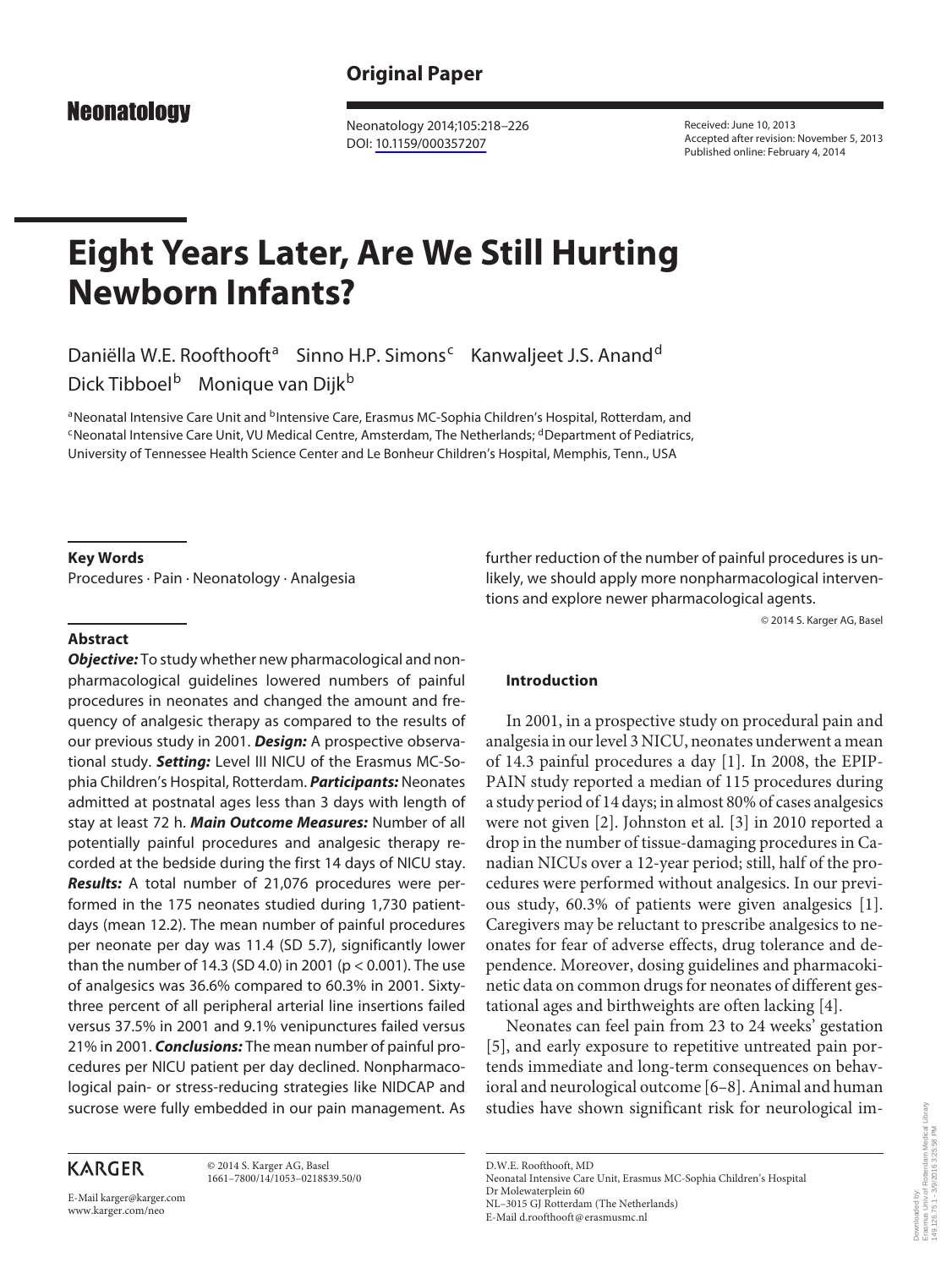**Neonatology** 

 Neonatology 2014;105:218–226 DOI: [10.1159/000357207](http://dx.doi.org/10.1159%2F000357207)

 Received: June 10, 2013 Accepted after revision: November 5, 2013 Published online: February 4, 2014

# **Eight Years Later, Are We Still Hurting Newborn Infants?**

Daniëlla W.E. Roofthooft<sup>a</sup> Sinno H.P. Simons<sup>c</sup> Kanwaljeet J.S. Anand<sup>d</sup> Dick Tibboel<sup>b</sup> Monique van Dijk<sup>b</sup>

a Neonatal Intensive Care Unit and <sup>b</sup> Intensive Care, Erasmus MC-Sophia Children's Hospital, Rotterdam, and c Neonatal Intensive Care Unit, VU Medical Centre, Amsterdam, The Netherlands; <sup>d</sup> Department of Pediatrics, University of Tennessee Health Science Center and Le Bonheur Children's Hospital, Memphis, Tenn. , USA

### **Key Words**

Procedures · Pain · Neonatology · Analgesia

## **Abstract**

*Objective:* To study whether new pharmacological and nonpharmacological guidelines lowered numbers of painful procedures in neonates and changed the amount and frequency of analgesic therapy as compared to the results of our previous study in 2001. *Design:* A prospective observational study. *Setting:* Level III NICU of the Erasmus MC-Sophia Children's Hospital, Rotterdam. *Participants:* Neonates admitted at postnatal ages less than 3 days with length of stay at least 72 h. *Main Outcome Measures:* Number of all potentially painful procedures and analgesic therapy recorded at the bedside during the first 14 days of NICU stay. *Results:* A total number of 21,076 procedures were performed in the 175 neonates studied during 1,730 patientdays (mean 12.2). The mean number of painful procedures per neonate per day was 11.4 (SD 5.7), significantly lower than the number of 14.3 (SD 4.0) in 2001 ( $p < 0.001$ ). The use of analgesics was 36.6% compared to 60.3% in 2001. Sixtythree percent of all peripheral arterial line insertions failed versus 37.5% in 2001 and 9.1% venipunctures failed versus 21% in 2001. *Conclusions:* The mean number of painful procedures per NICU patient per day declined. Nonpharmacological pain- or stress-reducing strategies like NIDCAP and sucrose were fully embedded in our pain management. As

# **KARGER**

 © 2014 S. Karger AG, Basel 1661–7800/14/1053–0218\$39.50/0

E-Mail karger@karger.com www.karger.com/neo

further reduction of the number of painful procedures is unlikely, we should apply more nonpharmacological interventions and explore newer pharmacological agents.

© 2014 S. Karger AG, Basel

## **Introduction**

 In 2001, in a prospective study on procedural pain and analgesia in our level 3 NICU, neonates underwent a mean of 14.3 painful procedures a day [1] . In 2008, the EPIP-PAIN study reported a median of 115 procedures during a study period of 14 days; in almost 80% of cases analgesics were not given [2]. Johnston et al. [3] in 2010 reported a drop in the number of tissue-damaging procedures in Canadian NICUs over a 12-year period; still, half of the procedures were performed without analgesics. In our previous study, 60.3% of patients were given analgesics [1] . Caregivers may be reluctant to prescribe analgesics to neonates for fear of adverse effects, drug tolerance and dependence. Moreover, dosing guidelines and pharmacokinetic data on common drugs for neonates of different gestational ages and birthweights are often lacking [4] .

 Neonates can feel pain from 23 to 24 weeks' gestation [5], and early exposure to repetitive untreated pain portends immediate and long-term consequences on behavioral and neurological outcome [6–8] . Animal and human studies have shown significant risk for neurological im-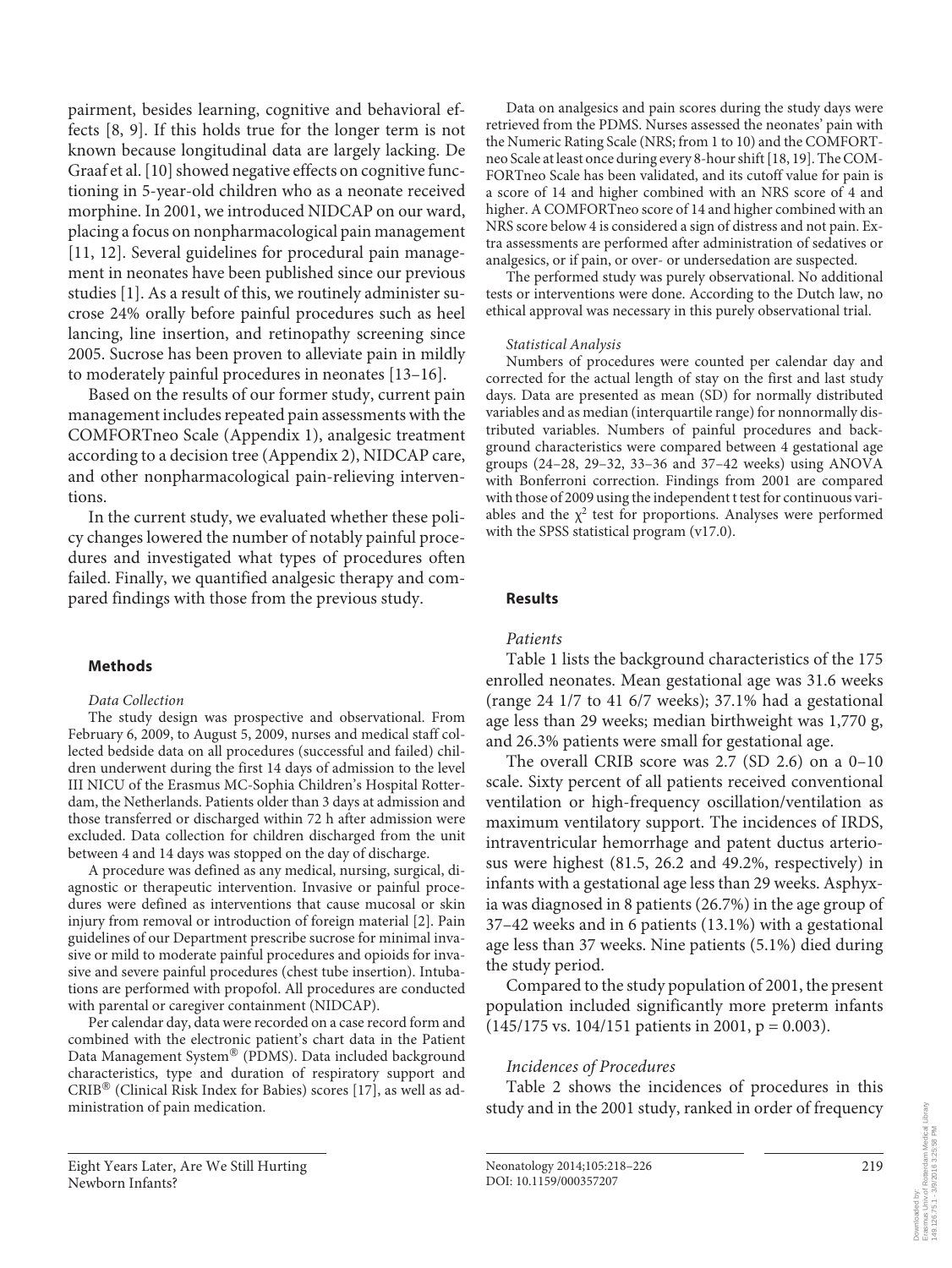pairment, besides learning, cognitive and behavioral effects [8, 9]. If this holds true for the longer term is not known because longitudinal data are largely lacking. De Graaf et al.[10] showed negative effects on cognitive functioning in 5-year-old children who as a neonate received morphine. In 2001, we introduced NIDCAP on our ward, placing a focus on nonpharmacological pain management [11, 12]. Several guidelines for procedural pain management in neonates have been published since our previous studies [1]. As a result of this, we routinely administer sucrose 24% orally before painful procedures such as heel lancing, line insertion, and retinopathy screening since 2005. Sucrose has been proven to alleviate pain in mildly to moderately painful procedures in neonates [13–16] .

 Based on the results of our former study, current pain management includes repeated pain assessments with the COMFORTneo Scale (Appendix 1), analgesic treatment according to a decision tree (Appendix 2), NIDCAP care, and other nonpharmacological pain-relieving interventions.

 In the current study, we evaluated whether these policy changes lowered the number of notably painful procedures and investigated what types of procedures often failed. Finally, we quantified analgesic therapy and compared findings with those from the previous study.

#### **Methods**

#### *Data Collection*

 The study design was prospective and observational. From February 6, 2009, to August 5, 2009, nurses and medical staff collected bedside data on all procedures (successful and failed) children underwent during the first 14 days of admission to the level III NICU of the Erasmus MC-Sophia Children's Hospital Rotterdam, the Netherlands. Patients older than 3 days at admission and those transferred or discharged within 72 h after admission were excluded. Data collection for children discharged from the unit between 4 and 14 days was stopped on the day of discharge.

 A procedure was defined as any medical, nursing, surgical, diagnostic or therapeutic intervention. Invasive or painful procedures were defined as interventions that cause mucosal or skin injury from removal or introduction of foreign material [2]. Pain guidelines of our Department prescribe sucrose for minimal invasive or mild to moderate painful procedures and opioids for invasive and severe painful procedures (chest tube insertion). Intubations are performed with propofol. All procedures are conducted with parental or caregiver containment (NIDCAP).

 Per calendar day, data were recorded on a case record form and combined with the electronic patient's chart data in the Patient Data Management System® (PDMS). Data included background characteristics, type and duration of respiratory support and CRIB<sup>®</sup> (Clinical Risk Index for Babies) scores [17], as well as administration of pain medication.

 Data on analgesics and pain scores during the study days were retrieved from the PDMS. Nurses assessed the neonates' pain with the Numeric Rating Scale (NRS; from 1 to 10) and the COMFORTneo Scale at least once during every 8-hour shift [18, 19] . The COM-FORTneo Scale has been validated, and its cutoff value for pain is a score of 14 and higher combined with an NRS score of 4 and higher. A COMFORTneo score of 14 and higher combined with an NRS score below 4 is considered a sign of distress and not pain. Extra assessments are performed after administration of sedatives or analgesics, or if pain, or over- or undersedation are suspected.

 The performed study was purely observational. No additional tests or interventions were done. According to the Dutch law, no ethical approval was necessary in this purely observational trial.

#### *Statistical Analysis*

 Numbers of procedures were counted per calendar day and corrected for the actual length of stay on the first and last study days. Data are presented as mean (SD) for normally distributed variables and as median (interquartile range) for nonnormally distributed variables. Numbers of painful procedures and background characteristics were compared between 4 gestational age groups (24–28, 29–32, 33–36 and 37–42 weeks) using ANOVA with Bonferroni correction. Findings from 2001 are compared with those of 2009 using the independent t test for continuous variables and the  $\chi^2$  test for proportions. Analyses were performed with the SPSS statistical program (v17.0).

#### **Results**

## *Patients*

 Table 1 lists the background characteristics of the 175 enrolled neonates. Mean gestational age was 31.6 weeks (range 24 1/7 to 41 6/7 weeks); 37.1% had a gestational age less than 29 weeks; median birthweight was 1,770 g, and 26.3% patients were small for gestational age.

 The overall CRIB score was 2.7 (SD 2.6) on a 0–10 scale. Sixty percent of all patients received conventional ventilation or high-frequency oscillation/ventilation as maximum ventilatory support. The incidences of IRDS, intraventricular hemorrhage and patent ductus arteriosus were highest (81.5, 26.2 and 49.2%, respectively) in infants with a gestational age less than 29 weeks. Asphyxia was diagnosed in 8 patients (26.7%) in the age group of 37–42 weeks and in 6 patients (13.1%) with a gestational age less than 37 weeks. Nine patients (5.1%) died during the study period.

 Compared to the study population of 2001, the present population included significantly more preterm infants  $(145/175 \text{ vs. } 104/151 \text{ patients in } 2001, p = 0.003).$ 

## *Incidences of Procedures*

Table 2 shows the incidences of procedures in this study and in the 2001 study, ranked in order of frequency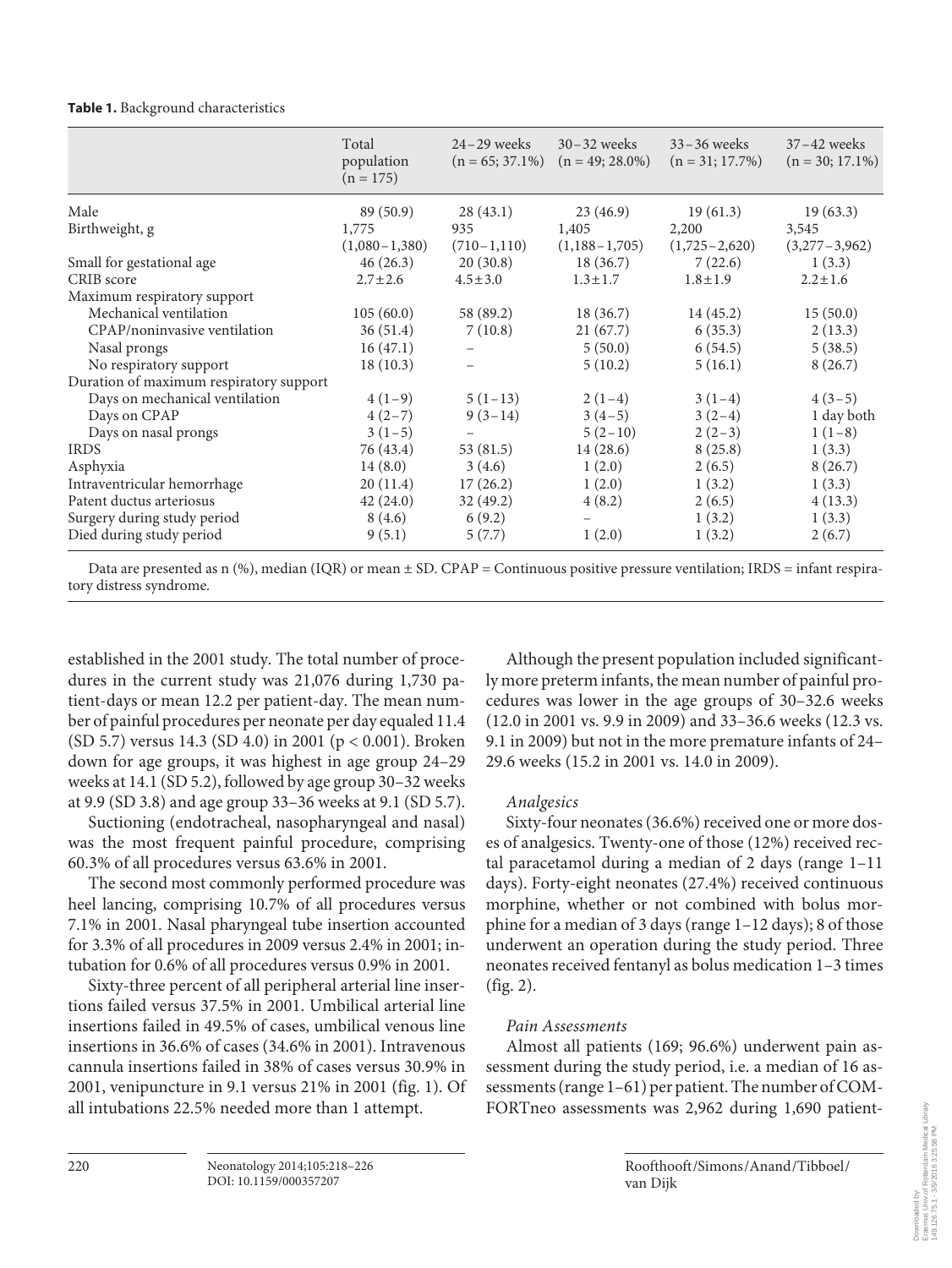#### **Table 1.** Background characteristics

|                                         | Total<br>population<br>$(n = 175)$ | $24 - 29$ weeks | $30 - 32$ weeks<br>$(n = 65; 37.1\%)$ $(n = 49; 28.0\%)$ | $33 - 36$ weeks<br>$(n = 31; 17.7\%)$ | $37 - 42$ weeks<br>$(n = 30; 17.1\%)$ |
|-----------------------------------------|------------------------------------|-----------------|----------------------------------------------------------|---------------------------------------|---------------------------------------|
| Male                                    | 89 (50.9)                          | 28(43.1)        | 23(46.9)                                                 | 19(61.3)                              | 19(63.3)                              |
| Birthweight, g                          | 1,775                              | 935             | 1,405                                                    | 2,200                                 | 3,545                                 |
|                                         | $(1,080-1,380)$                    | $(710-1,110)$   | $(1,188-1,705)$                                          | $(1,725-2,620)$                       | $(3,277-3,962)$                       |
| Small for gestational age               | 46(26.3)                           | 20(30.8)        | 18(36.7)                                                 | 7(22.6)                               | 1(3.3)                                |
| CRIB score                              | $2.7 \pm 2.6$                      | $4.5 \pm 3.0$   | $1.3 \pm 1.7$                                            | $1.8 \pm 1.9$                         | $2.2 \pm 1.6$                         |
| Maximum respiratory support             |                                    |                 |                                                          |                                       |                                       |
| Mechanical ventilation                  | 105(60.0)                          | 58 (89.2)       | 18(36.7)                                                 | 14(45.2)                              | 15(50.0)                              |
| CPAP/noninvasive ventilation            | 36(51.4)                           | 7(10.8)         | 21(67.7)                                                 | 6(35.3)                               | 2(13.3)                               |
| Nasal prongs                            | 16(47.1)                           |                 | 5(50.0)                                                  | 6(54.5)                               | 5(38.5)                               |
| No respiratory support                  | 18(10.3)                           |                 | 5(10.2)                                                  | 5(16.1)                               | 8(26.7)                               |
| Duration of maximum respiratory support |                                    |                 |                                                          |                                       |                                       |
| Days on mechanical ventilation          | $4(1-9)$                           | $5(1-13)$       | $2(1-4)$                                                 | $3(1-4)$                              | $4(3-5)$                              |
| Days on CPAP                            | $4(2-7)$                           | $9(3-14)$       | $3(4-5)$                                                 | $3(2-4)$                              | 1 day both                            |
| Days on nasal prongs                    | $3(1-5)$                           |                 | $5(2-10)$                                                | $2(2-3)$                              | $1(1-8)$                              |
| <b>IRDS</b>                             | 76 (43.4)                          | 53 (81.5)       | 14(28.6)                                                 | 8(25.8)                               | 1(3.3)                                |
| Asphyxia                                | 14(8.0)                            | 3(4.6)          | 1(2.0)                                                   | 2(6.5)                                | 8(26.7)                               |
| Intraventricular hemorrhage             | 20(11.4)                           | 17(26.2)        | 1(2.0)                                                   | 1(3.2)                                | 1(3.3)                                |
| Patent ductus arteriosus                | 42(24.0)                           | 32(49.2)        | 4(8.2)                                                   | 2(6.5)                                | 4(13.3)                               |
| Surgery during study period             | 8(4.6)                             | 6(9.2)          |                                                          | 1(3.2)                                | 1(3.3)                                |
| Died during study period                | 9(5.1)                             | 5(7.7)          | 1(2.0)                                                   | 1(3.2)                                | 2(6.7)                                |

Data are presented as n (%), median (IQR) or mean  $\pm$  SD. CPAP = Continuous positive pressure ventilation; IRDS = infant respiratory distress syndrome.

established in the 2001 study. The total number of procedures in the current study was 21,076 during 1,730 patient-days or mean 12.2 per patient-day. The mean number of painful procedures per neonate per day equaled 11.4 (SD 5.7) versus 14.3 (SD 4.0) in 2001 (p < 0.001). Broken down for age groups, it was highest in age group 24–29 weeks at 14.1 (SD 5.2), followed by age group 30–32 weeks at 9.9 (SD 3.8) and age group 33–36 weeks at 9.1 (SD 5.7).

 Suctioning (endotracheal, nasopharyngeal and nasal) was the most frequent painful procedure, comprising 60.3% of all procedures versus 63.6% in 2001.

 The second most commonly performed procedure was heel lancing, comprising 10.7% of all procedures versus 7.1% in 2001. Nasal pharyngeal tube insertion accounted for 3.3% of all procedures in 2009 versus 2.4% in 2001; intubation for 0.6% of all procedures versus 0.9% in 2001.

 Sixty-three percent of all peripheral arterial line insertions failed versus 37.5% in 2001. Umbilical arterial line insertions failed in 49.5% of cases, umbilical venous line insertions in 36.6% of cases (34.6% in 2001). Intravenous cannula insertions failed in 38% of cases versus 30.9% in 2001, venipuncture in 9.1 versus 21% in 2001 (fig. 1). Of all intubations 22.5% needed more than 1 attempt.

 Although the present population included significantly more preterm infants, the mean number of painful procedures was lower in the age groups of 30–32.6 weeks (12.0 in 2001 vs. 9.9 in 2009) and 33–36.6 weeks (12.3 vs. 9.1 in 2009) but not in the more premature infants of 24– 29.6 weeks (15.2 in 2001 vs. 14.0 in 2009).

### *Analgesics*

 Sixty-four neonates (36.6%) received one or more doses of analgesics. Twenty-one of those (12%) received rectal paracetamol during a median of 2 days (range 1–11 days). Forty-eight neonates (27.4%) received continuous morphine, whether or not combined with bolus morphine for a median of 3 days (range 1–12 days); 8 of those underwent an operation during the study period. Three neonates received fentanyl as bolus medication 1–3 times  $(fig. 2)$ .

## *Pain Assessments*

 Almost all patients (169; 96.6%) underwent pain assessment during the study period, i.e. a median of 16 assessments (range 1–61) per patient. The number of COM-FORTneo assessments was 2,962 during 1,690 patient-

van Dijk

Roofthooft /Simons /Anand /Tibboel /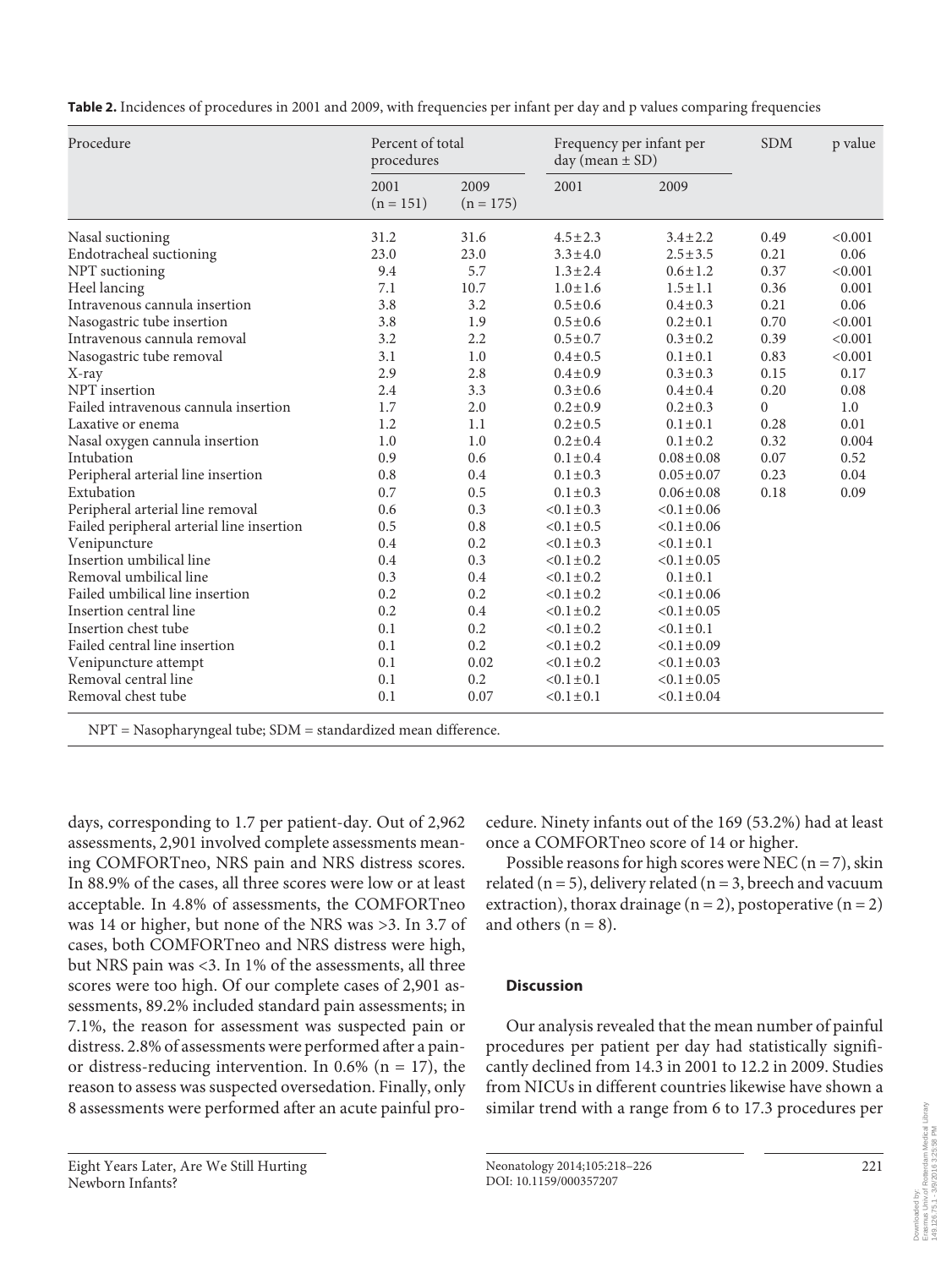**Table 2.** Incidences of procedures in 2001 and 2009, with frequencies per infant per day and p values comparing frequencies

| Procedure                                 | procedures          | Percent of total    |                 | Frequency per infant per<br>day (mean $\pm$ SD) |          | p value |
|-------------------------------------------|---------------------|---------------------|-----------------|-------------------------------------------------|----------|---------|
|                                           | 2001<br>$(n = 151)$ | 2009<br>$(n = 175)$ | 2001            | 2009                                            |          |         |
| Nasal suctioning                          | 31.2                | 31.6                | $4.5 \pm 2.3$   | $3.4 \pm 2.2$                                   | 0.49     | < 0.001 |
| Endotracheal suctioning                   | 23.0                | 23.0                | $3.3 \pm 4.0$   | $2.5 \pm 3.5$                                   | 0.21     | 0.06    |
| NPT suctioning                            | 9.4                 | 5.7                 | $1.3 \pm 2.4$   | $0.6 \pm 1.2$                                   | 0.37     | < 0.001 |
| Heel lancing                              | 7.1                 | 10.7                | $1.0 \pm 1.6$   | $1.5 \pm 1.1$                                   | 0.36     | 0.001   |
| Intravenous cannula insertion             | 3.8                 | 3.2                 | $0.5 \pm 0.6$   | $0.4 \pm 0.3$                                   | 0.21     | 0.06    |
| Nasogastric tube insertion                | 3.8                 | 1.9                 | $0.5 \pm 0.6$   | $0.2 \pm 0.1$                                   | 0.70     | < 0.001 |
| Intravenous cannula removal               | 3.2                 | 2.2                 | $0.5 \pm 0.7$   | $0.3 \pm 0.2$                                   | 0.39     | < 0.001 |
| Nasogastric tube removal                  | 3.1                 | 1.0                 | $0.4 \pm 0.5$   | $0.1 \pm 0.1$                                   | 0.83     | < 0.001 |
| X-ray                                     | 2.9                 | 2.8                 | $0.4 \pm 0.9$   | $0.3 \pm 0.3$                                   | 0.15     | 0.17    |
| NPT insertion                             | 2.4                 | 3.3                 | $0.3 \pm 0.6$   | $0.4 \pm 0.4$                                   | 0.20     | 0.08    |
| Failed intravenous cannula insertion      | 1.7                 | 2.0                 | $0.2 \pm 0.9$   | $0.2 \pm 0.3$                                   | $\Omega$ | 1.0     |
| Laxative or enema                         | 1.2                 | 1.1                 | $0.2 \pm 0.5$   | $0.1 \pm 0.1$                                   | 0.28     | 0.01    |
| Nasal oxygen cannula insertion            | 1.0                 | 1.0                 | $0.2 \pm 0.4$   | $0.1 \pm 0.2$                                   | 0.32     | 0.004   |
| Intubation                                | 0.9                 | 0.6                 | $0.1 \pm 0.4$   | $0.08 \pm 0.08$                                 | 0.07     | 0.52    |
| Peripheral arterial line insertion        | 0.8                 | 0.4                 | $0.1 \pm 0.3$   | $0.05 \pm 0.07$                                 | 0.23     | 0.04    |
| Extubation                                | 0.7                 | 0.5                 | $0.1 \pm 0.3$   | $0.06 \pm 0.08$                                 | 0.18     | 0.09    |
| Peripheral arterial line removal          | 0.6                 | 0.3                 | $< 0.1 \pm 0.3$ | $< 0.1 \pm 0.06$                                |          |         |
| Failed peripheral arterial line insertion | 0.5                 | 0.8                 | $< 0.1 \pm 0.5$ | $< 0.1 \pm 0.06$                                |          |         |
| Venipuncture                              | 0.4                 | 0.2                 | $< 0.1 \pm 0.3$ | $<0.1 \pm 0.1$                                  |          |         |
| Insertion umbilical line                  | 0.4                 | 0.3                 | $< 0.1 \pm 0.2$ | $< 0.1 \pm 0.05$                                |          |         |
| Removal umbilical line                    | 0.3                 | 0.4                 | $< 0.1 \pm 0.2$ | $0.1 \pm 0.1$                                   |          |         |
| Failed umbilical line insertion           | 0.2                 | 0.2                 | $< 0.1 \pm 0.2$ | $< 0.1 \pm 0.06$                                |          |         |
| Insertion central line                    | 0.2                 | 0.4                 | $< 0.1 \pm 0.2$ | $< 0.1 \pm 0.05$                                |          |         |
| Insertion chest tube                      | 0.1                 | 0.2                 | $< 0.1 \pm 0.2$ | $< 0.1 \pm 0.1$                                 |          |         |
| Failed central line insertion             | 0.1                 | 0.2                 | $< 0.1 \pm 0.2$ | $<0.1 \pm 0.09$                                 |          |         |
| Venipuncture attempt                      | 0.1                 | 0.02                | $< 0.1 \pm 0.2$ | $<0.1 \pm 0.03$                                 |          |         |
| Removal central line                      | 0.1                 | 0.2                 | $< 0.1 \pm 0.1$ | $<0.1 \pm 0.05$                                 |          |         |
| Removal chest tube                        | 0.1                 | 0.07                | $< 0.1 \pm 0.1$ | $< 0.1 \pm 0.04$                                |          |         |

NPT = Nasopharyngeal tube; SDM = standardized mean difference.

days, corresponding to 1.7 per patient-day. Out of 2,962 assessments, 2,901 involved complete assessments meaning COMFORTneo, NRS pain and NRS distress scores. In 88.9% of the cases, all three scores were low or at least acceptable. In 4.8% of assessments, the COMFORTneo was 14 or higher, but none of the NRS was >3. In 3.7 of cases, both COMFORTneo and NRS distress were high, but NRS pain was <3. In 1% of the assessments, all three scores were too high. Of our complete cases of 2,901 assessments, 89.2% included standard pain assessments; in 7.1%, the reason for assessment was suspected pain or distress. 2.8% of assessments were performed after a painor distress-reducing intervention. In 0.6% ( $n = 17$ ), the reason to assess was suspected oversedation. Finally, only 8 assessments were performed after an acute painful procedure. Ninety infants out of the 169 (53.2%) had at least once a COMFORTneo score of 14 or higher.

Possible reasons for high scores were NEC ( $n = 7$ ), skin related ( $n = 5$ ), delivery related ( $n = 3$ , breech and vacuum extraction), thorax drainage  $(n = 2)$ , postoperative  $(n = 2)$ and others  $(n = 8)$ .

### **Discussion**

 Our analysis revealed that the mean number of painful procedures per patient per day had statistically significantly declined from 14.3 in 2001 to 12.2 in 2009. Studies from NICUs in different countries likewise have shown a similar trend with a range from 6 to 17.3 procedures per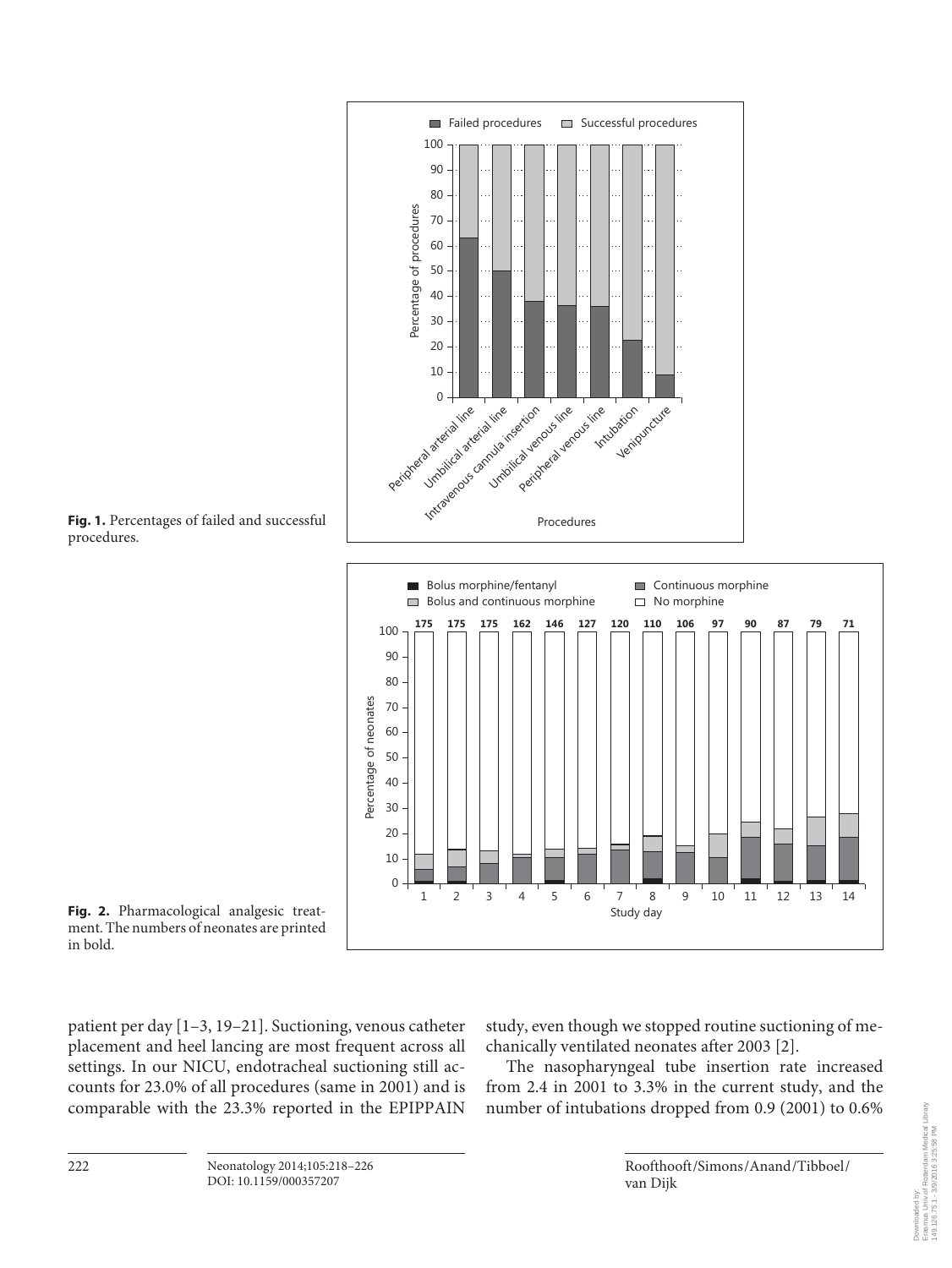





patient per day [1–3, 19–21] . Suctioning, venous catheter placement and heel lancing are most frequent across all settings. In our NICU, endotracheal suctioning still accounts for 23.0% of all procedures (same in 2001) and is comparable with the 23.3% reported in the EPIPPAIN

study, even though we stopped routine suctioning of mechanically ventilated neonates after 2003 [2] .

 The nasopharyngeal tube insertion rate increased from 2.4 in 2001 to 3.3% in the current study, and the number of intubations dropped from 0.9 (2001) to 0.6%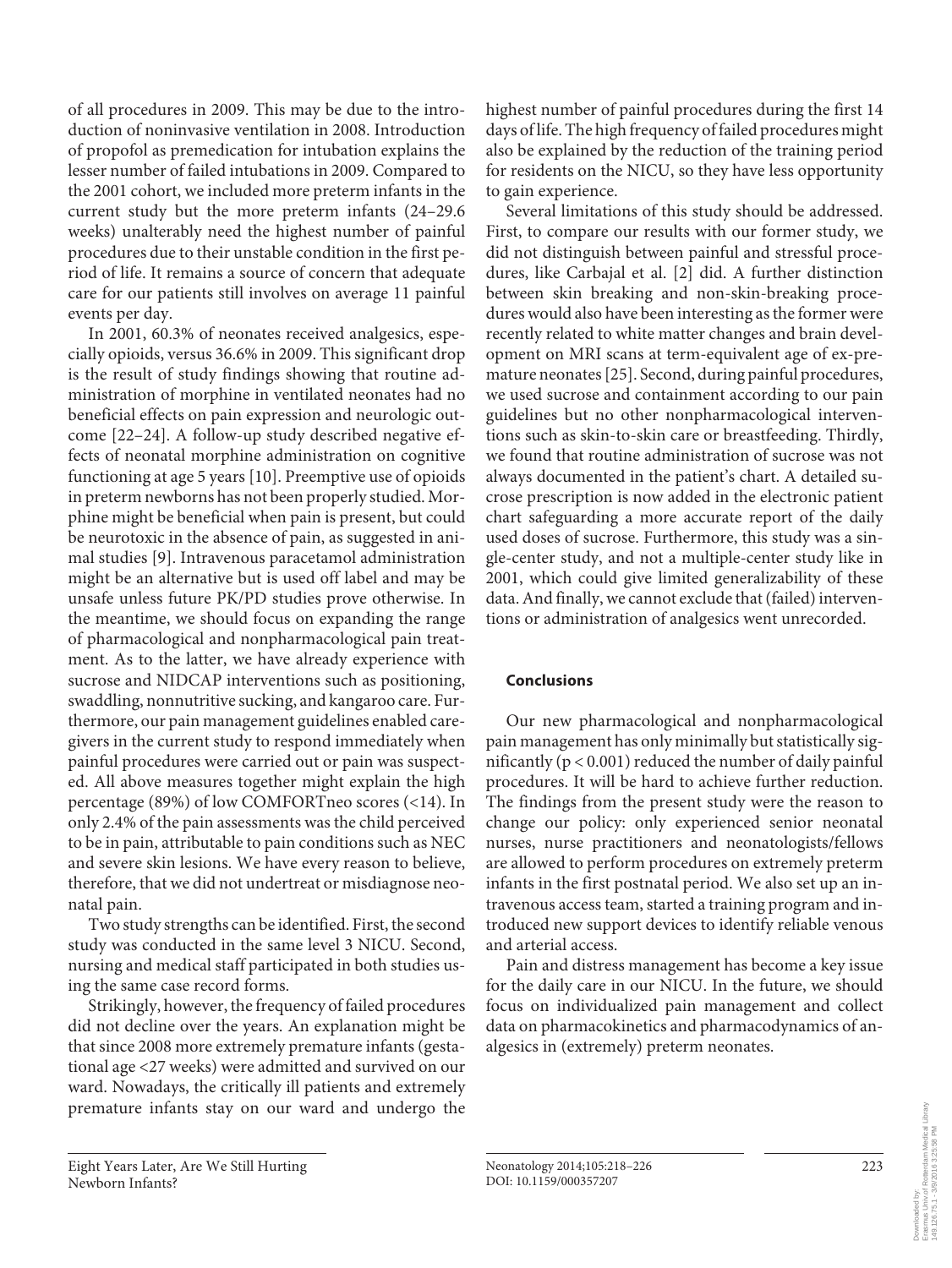of all procedures in 2009. This may be due to the introduction of noninvasive ventilation in 2008. Introduction of propofol as premedication for intubation explains the lesser number of failed intubations in 2009. Compared to the 2001 cohort, we included more preterm infants in the current study but the more preterm infants (24–29.6 weeks) unalterably need the highest number of painful procedures due to their unstable condition in the first period of life. It remains a source of concern that adequate care for our patients still involves on average 11 painful events per day.

 In 2001, 60.3% of neonates received analgesics, especially opioids, versus 36.6% in 2009. This significant drop is the result of study findings showing that routine administration of morphine in ventilated neonates had no beneficial effects on pain expression and neurologic outcome [22–24] . A follow-up study described negative effects of neonatal morphine administration on cognitive functioning at age 5 years [10]. Preemptive use of opioids in preterm newborns has not been properly studied. Morphine might be beneficial when pain is present, but could be neurotoxic in the absence of pain, as suggested in animal studies [9]. Intravenous paracetamol administration might be an alternative but is used off label and may be unsafe unless future PK/PD studies prove otherwise. In the meantime, we should focus on expanding the range of pharmacological and nonpharmacological pain treatment. As to the latter, we have already experience with sucrose and NIDCAP interventions such as positioning, swaddling, nonnutritive sucking, and kangaroo care. Furthermore, our pain management guidelines enabled caregivers in the current study to respond immediately when painful procedures were carried out or pain was suspected. All above measures together might explain the high percentage (89%) of low COMFORTneo scores (<14). In only 2.4% of the pain assessments was the child perceived to be in pain, attributable to pain conditions such as NEC and severe skin lesions. We have every reason to believe, therefore, that we did not undertreat or misdiagnose neonatal pain.

 Two study strengths can be identified. First, the second study was conducted in the same level 3 NICU. Second, nursing and medical staff participated in both studies using the same case record forms.

 Strikingly, however, the frequency of failed procedures did not decline over the years. An explanation might be that since 2008 more extremely premature infants (gestational age <27 weeks) were admitted and survived on our ward. Nowadays, the critically ill patients and extremely premature infants stay on our ward and undergo the

highest number of painful procedures during the first 14 days of life. The high frequency of failed procedures might also be explained by the reduction of the training period for residents on the NICU, so they have less opportunity to gain experience.

 Several limitations of this study should be addressed. First, to compare our results with our former study, we did not distinguish between painful and stressful procedures, like Carbajal et al. [2] did. A further distinction between skin breaking and non-skin-breaking procedures would also have been interesting as the former were recently related to white matter changes and brain development on MRI scans at term-equivalent age of ex-premature neonates [25]. Second, during painful procedures, we used sucrose and containment according to our pain guidelines but no other nonpharmacological interventions such as skin-to-skin care or breastfeeding. Thirdly, we found that routine administration of sucrose was not always documented in the patient's chart. A detailed sucrose prescription is now added in the electronic patient chart safeguarding a more accurate report of the daily used doses of sucrose. Furthermore, this study was a single-center study, and not a multiple-center study like in 2001, which could give limited generalizability of these data. And finally, we cannot exclude that (failed) interventions or administration of analgesics went unrecorded.

### **Conclusions**

 Our new pharmacological and nonpharmacological pain management has only minimally but statistically significantly ( $p < 0.001$ ) reduced the number of daily painful procedures. It will be hard to achieve further reduction. The findings from the present study were the reason to change our policy: only experienced senior neonatal nurses, nurse practitioners and neonatologists/fellows are allowed to perform procedures on extremely preterm infants in the first postnatal period. We also set up an intravenous access team, started a training program and introduced new support devices to identify reliable venous and arterial access.

 Pain and distress management has become a key issue for the daily care in our NICU. In the future, we should focus on individualized pain management and collect data on pharmacokinetics and pharmacodynamics of analgesics in (extremely) preterm neonates.

149.126.75.1 - 3/9/2016 3:25:58 PM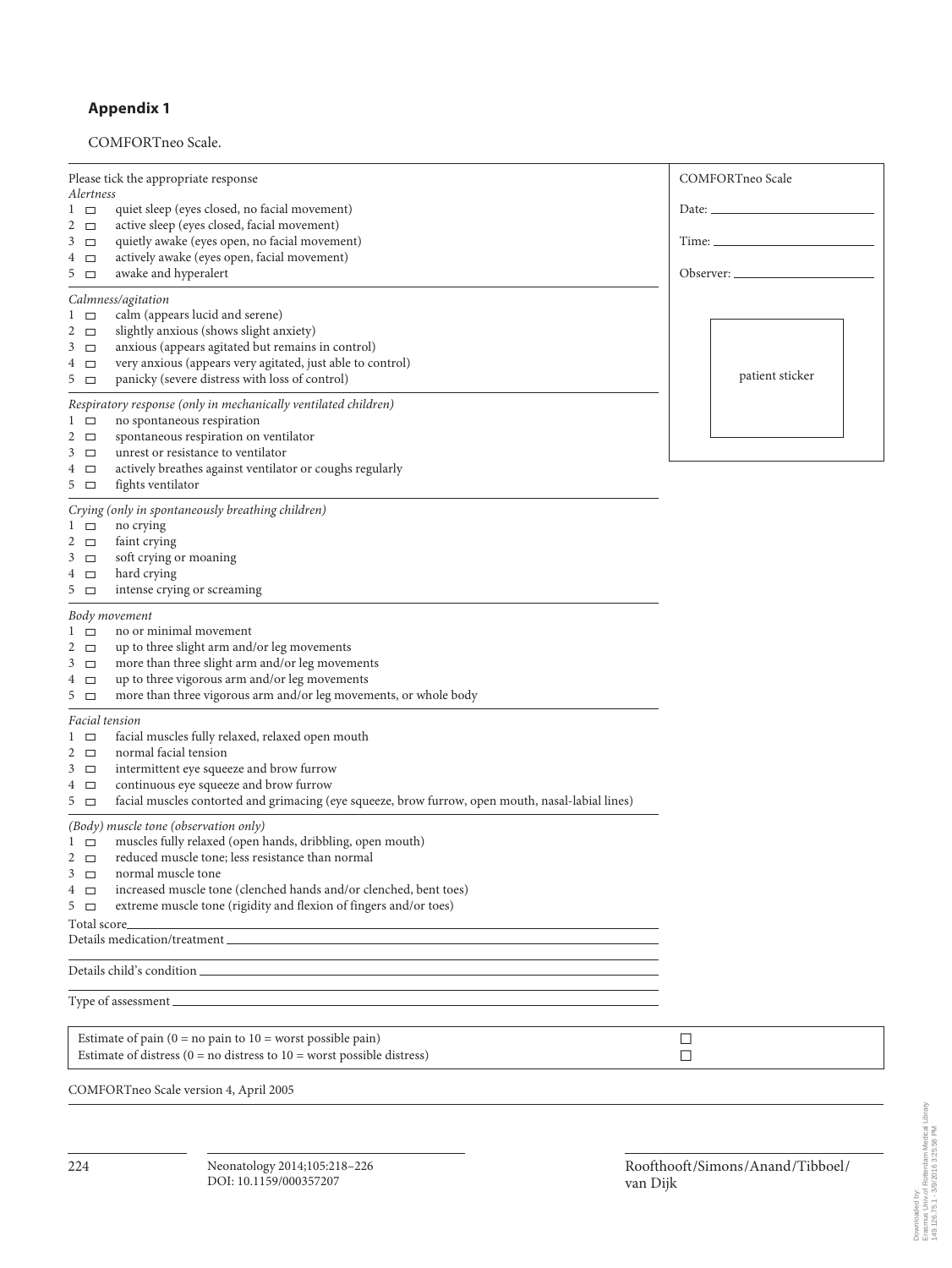## **Appendix 1**

## COMFORTneo Scale.

| Please tick the appropriate response                                                                                                                                                                                                                                                                                                                                               | COMFORTneo Scale |  |  |
|------------------------------------------------------------------------------------------------------------------------------------------------------------------------------------------------------------------------------------------------------------------------------------------------------------------------------------------------------------------------------------|------------------|--|--|
| Alertness<br>quiet sleep (eyes closed, no facial movement)<br>$1\Box$<br>active sleep (eyes closed, facial movement)<br>2 $\Box$                                                                                                                                                                                                                                                   |                  |  |  |
| quietly awake (eyes open, no facial movement)<br>$3\Box$<br>actively awake (eyes open, facial movement)<br>4 □<br>awake and hyperalert<br>$5\Box$                                                                                                                                                                                                                                  |                  |  |  |
| Calmness/agitation<br>calm (appears lucid and serene)<br>$1\quad \square$<br>slightly anxious (shows slight anxiety)<br>2 $\Box$<br>anxious (appears agitated but remains in control)<br>$3\Box$<br>very anxious (appears very agitated, just able to control)<br>4 □<br>panicky (severe distress with loss of control)<br>$5\quad \square$                                        | patient sticker  |  |  |
| Respiratory response (only in mechanically ventilated children)<br>no spontaneous respiration<br>$1\Box$<br>spontaneous respiration on ventilator<br>2 $\Box$<br>unrest or resistance to ventilator<br>3<br>$\Box$<br>actively breathes against ventilator or coughs regularly<br>4 □<br>fights ventilator<br>$5\Box$                                                              |                  |  |  |
| Crying (only in spontaneously breathing children)<br>no crying<br>$1\Box$<br>2 $\Box$<br>faint crying<br>soft crying or moaning<br>$3\Box$<br>hard crying<br>4 □<br>$5\quad \square$<br>intense crying or screaming                                                                                                                                                                |                  |  |  |
| Body movement<br>no or minimal movement<br>l □<br>2 $\Box$<br>up to three slight arm and/or leg movements<br>more than three slight arm and/or leg movements<br>$3\Box$<br>up to three vigorous arm and/or leg movements<br>4 □<br>more than three vigorous arm and/or leg movements, or whole body<br>$5\Box$                                                                     |                  |  |  |
| Facial tension<br>facial muscles fully relaxed, relaxed open mouth<br>l □<br>normal facial tension<br>2 $\Box$<br>intermittent eye squeeze and brow furrow<br>$3\Box$<br>continuous eye squeeze and brow furrow<br>4 □<br>facial muscles contorted and grimacing (eye squeeze, brow furrow, open mouth, nasal-labial lines)<br>$5\Box$                                             |                  |  |  |
| (Body) muscle tone (observation only)<br>muscles fully relaxed (open hands, dribbling, open mouth)<br>l □<br>reduced muscle tone; less resistance than normal<br>2 $\Box$<br>normal muscle tone<br>3 □<br>increased muscle tone (clenched hands and/or clenched, bent toes)<br>4 □<br>extreme muscle tone (rigidity and flexion of fingers and/or toes)<br>$5\Box$<br>Total score_ |                  |  |  |
|                                                                                                                                                                                                                                                                                                                                                                                    |                  |  |  |
| the control of the control of the control of the control of the control of the control of                                                                                                                                                                                                                                                                                          |                  |  |  |
| Estimate of pain ( $0 = no$ pain to $10 =$ worst possible pain)<br>Estimate of distress ( $0 =$ no distress to $10 =$ worst possible distress)                                                                                                                                                                                                                                     | □<br>$\Box$      |  |  |
| COMFORTneo Scale version 4, April 2005                                                                                                                                                                                                                                                                                                                                             |                  |  |  |

Roofthooft /Simons /Anand /Tibboel /

van Dijk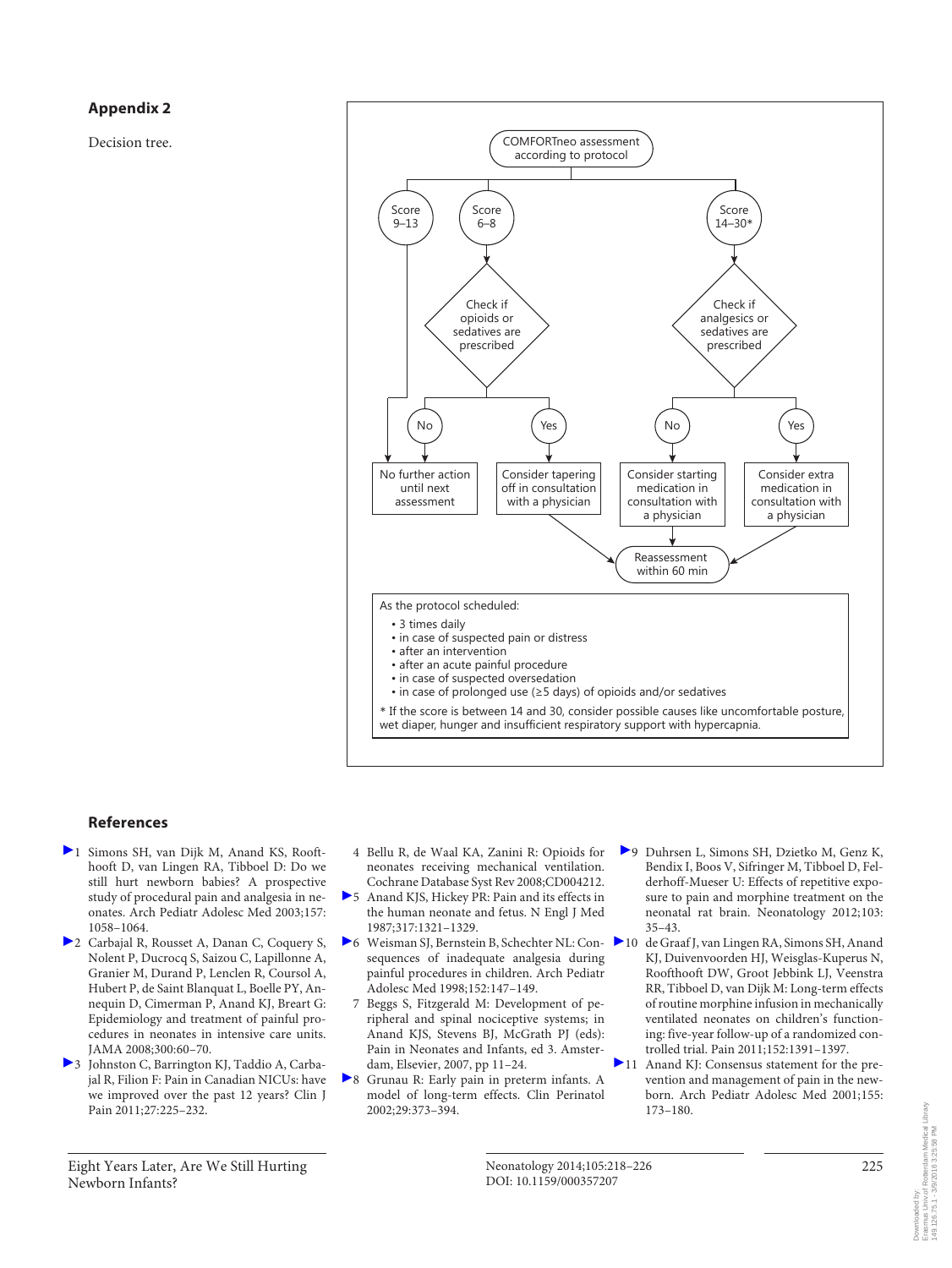#### **Appendix 2**

Decision tree.



#### **References**

- 1 Simons SH, van Dijk M, Anand KS, Roofthooft D, van Lingen RA, Tibboel D: Do we still hurt newborn babies? A prospective study of procedural pain and analgesia in neonates. Arch Pediatr Adolesc Med 2003;157: 1058–1064.
- 2 Carbajal R, Rousset A, Danan C, Coquery S, Nolent P, Ducrocq S, Saizou C, Lapillonne A, Granier M, Durand P, Lenclen R, Coursol A, Hubert P, de Saint Blanquat L, Boelle PY, Annequin D, Cimerman P, Anand KJ, Breart G: Epidemiology and treatment of painful procedures in neonates in intensive care units. JAMA 2008;300:60–70.
- 3 Johnston C, Barrington KJ, Taddio A, Carbajal R, Filion F: Pain in Canadian NICUs: have we improved over the past 12 years? Clin J Pain 2011;27:225–232.
- 4 Bellu R, de Waal KA, Zanini R: Opioids for neonates receiving mechanical ventilation. Cochrane Database Syst Rev 2008;CD004212.
- 5 Anand KJS, Hickey PR: Pain and its effects in the human neonate and fetus. N Engl J Med 1987;317:1321–1329.
- ▶ 6 Weisman SJ, Bernstein B, Schechter NL: Con- ▶ 10 sequences of inadequate analgesia during painful procedures in children. Arch Pediatr Adolesc Med 1998;152:147–149.
	- 7 Beggs S, Fitzgerald M: Development of peripheral and spinal nociceptive systems; in Anand KJS, Stevens BJ, McGrath PJ (eds): Pain in Neonates and Infants, ed 3. Amsterdam, Elsevier, 2007, pp 11–24.
- 8 Grunau R: Early pain in preterm infants. A model of long-term effects. Clin Perinatol 2002;29:373–394.
- 9 Duhrsen L, Simons SH, Dzietko M, Genz K, Bendix I, Boos V, Sifringer M, Tibboel D, Felderhoff-Mueser U: Effects of repetitive exposure to pain and morphine treatment on the neonatal rat brain. Neonatology 2012;103: 35–43.
	- de Graaf J, van Lingen RA, Simons SH, Anand KJ, Duivenvoorden HJ, Weisglas-Kuperus N, Roofthooft DW, Groot Jebbink LJ, Veenstra RR, Tibboel D, van Dijk M: Long-term effects of routine morphine infusion in mechanically ventilated neonates on children's functioning: five-year follow-up of a randomized controlled trial. Pain 2011;152:1391–1397.
- 11 Anand KJ: Consensus statement for the prevention and management of pain in the newborn. Arch Pediatr Adolesc Med 2001;155: 173–180.